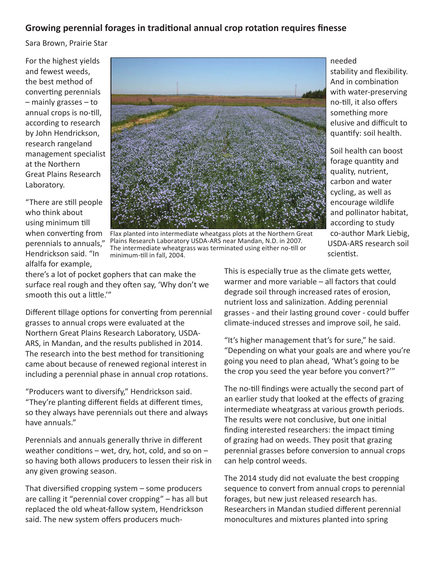## **Growing perennial forages in traditional annual crop rotation requires finesse**

Sara Brown, Prairie Star

For the highest yields and fewest weeds, the best method of converting perennials – mainly grasses – to annual crops is no-till, according to research by John Hendrickson, research rangeland management specialist at the Northern Great Plains Research Laboratory.

"There are still people who think about using minimum till when converting from perennials to annuals," Hendrickson said. "In alfalfa for example,



Flax planted into intermediate wheatgass plots at the Northern Great Plains Research Laboratory USDA-ARS near Mandan, N.D. in 2007. The intermediate wheatgrass was terminated using either no-till or minimum-till in fall, 2004.

needed stability and flexibility. And in combination with water-preserving no-till, it also offers something more elusive and difficult to quantify: soil health.

Soil health can boost forage quantity and quality, nutrient, carbon and water cycling, as well as encourage wildlife and pollinator habitat, according to study co-author Mark Liebig, USDA-ARS research soil scientist.

there's a lot of pocket gophers that can make the surface real rough and they often say, 'Why don't we smooth this out a little.'"

Different tillage options for converting from perennial grasses to annual crops were evaluated at the Northern Great Plains Research Laboratory, USDA-ARS, in Mandan, and the results published in 2014. The research into the best method for transitioning came about because of renewed regional interest in including a perennial phase in annual crop rotations.

"Producers want to diversify," Hendrickson said. "They're planting different fields at different times, so they always have perennials out there and always have annuals."

Perennials and annuals generally thrive in different weather conditions – wet, dry, hot, cold, and so on – so having both allows producers to lessen their risk in any given growing season.

That diversified cropping system – some producers are calling it "perennial cover cropping" – has all but replaced the old wheat-fallow system, Hendrickson said. The new system offers producers muchThis is especially true as the climate gets wetter, warmer and more variable – all factors that could degrade soil through increased rates of erosion, nutrient loss and salinization. Adding perennial grasses - and their lasting ground cover - could buffer climate‐induced stresses and improve soil, he said.

"It's higher management that's for sure," he said. "Depending on what your goals are and where you're going you need to plan ahead, 'What's going to be the crop you seed the year before you convert?'"

The no-till findings were actually the second part of an earlier study that looked at the effects of grazing intermediate wheatgrass at various growth periods. The results were not conclusive, but one initial finding interested researchers: the impact timing of grazing had on weeds. They posit that grazing perennial grasses before conversion to annual crops can help control weeds.

The 2014 study did not evaluate the best cropping sequence to convert from annual crops to perennial forages, but new just released research has. Researchers in Mandan studied different perennial monocultures and mixtures planted into spring